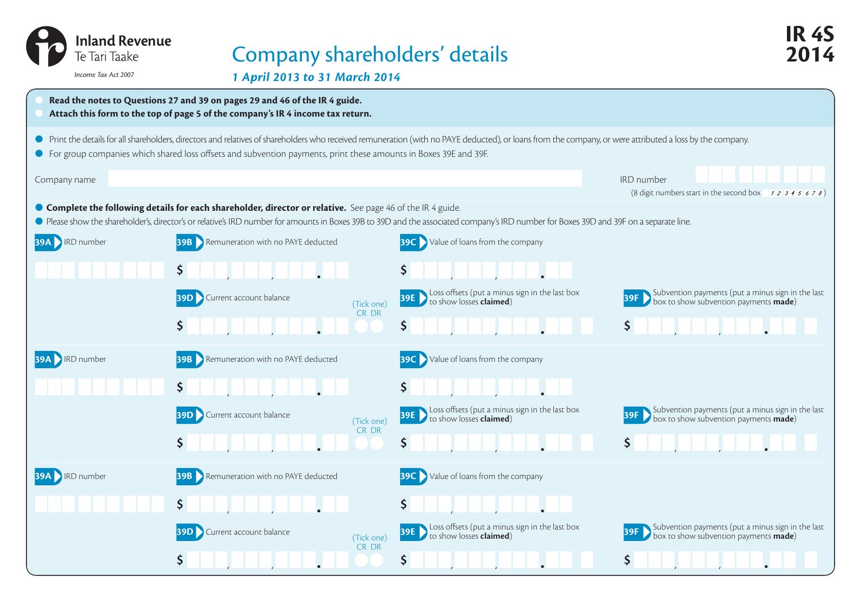| <b>Inland Revenue</b><br>Te Tari Taake<br>Income Tax Act 2007 | Company shareholders' details<br>1 April 2013 to 31 March 2014                                                                                                |                                                                                                                                                                                                         | IR 4S<br>014                                                                                                           |
|---------------------------------------------------------------|---------------------------------------------------------------------------------------------------------------------------------------------------------------|---------------------------------------------------------------------------------------------------------------------------------------------------------------------------------------------------------|------------------------------------------------------------------------------------------------------------------------|
|                                                               | Read the notes to Questions 27 and 39 on pages 29 and 46 of the IR 4 guide.<br>Attach this form to the top of page 5 of the company's IR 4 income tax return. |                                                                                                                                                                                                         |                                                                                                                        |
|                                                               | • For group companies which shared loss offsets and subvention payments, print these amounts in Boxes 39E and 39F.                                            | Print the details for all shareholders, directors and relatives of shareholders who received remuneration (with no PAYE deducted), or loans from the company, or were attributed a loss by the company. |                                                                                                                        |
| Company name                                                  |                                                                                                                                                               |                                                                                                                                                                                                         | IRD number<br>(8 digit numbers start in the second box $\begin{array}{cc} 1 & 2 & 3 & 4 & 5 & 6 & 7 & 8 \end{array}$ ) |
|                                                               | ● Complete the following details for each shareholder, director or relative. See page 46 of the IR 4 guide.                                                   | ● Please show the shareholder's, director's or relative's IRD number for amounts in Boxes 39B to 39D and the associated company's IRD number for Boxes 39D and 39F on a separate line.                  |                                                                                                                        |
| <b>39A RD</b> number                                          | <b>39B</b> Remuneration with no PAYE deducted                                                                                                                 | <b>39C</b> Value of loans from the company                                                                                                                                                              |                                                                                                                        |
|                                                               |                                                                                                                                                               | $\mathsf{S}$                                                                                                                                                                                            |                                                                                                                        |
|                                                               | <b>39D</b> Current account balance<br>(Tick one)                                                                                                              | <b>39E</b> Stock offsets (put a minus sign in the last box<br><b>39E</b> Stockhow losses <b>claimed</b> )                                                                                               | Subvention payments (put a minus sign in the last<br>box to show subvention payments <b>made</b> )                     |
|                                                               | CR DR<br>\$                                                                                                                                                   | $\mathsf{S}$                                                                                                                                                                                            | $\mathsf{S}$                                                                                                           |
| <b>39A RD</b> number                                          | <b>39B</b> Remuneration with no PAYE deducted                                                                                                                 | <b>39C</b> Value of loans from the company                                                                                                                                                              |                                                                                                                        |
|                                                               |                                                                                                                                                               | $\mathsf{S}$                                                                                                                                                                                            |                                                                                                                        |
|                                                               | <b>39D</b> Current account balance<br>(Tick one)<br>CR DR                                                                                                     | <b>39E</b> Loss offsets (put a minus sign in the last box<br><b>39E</b> to show losses <b>claimed</b> )                                                                                                 | Subvention payments (put a minus sign in the last<br>box to show subvention payments <b>made</b> )                     |
|                                                               | \$                                                                                                                                                            | $\mathsf{S}$                                                                                                                                                                                            | $\mathsf{S}$                                                                                                           |
| <b>39A</b> RD number                                          | <b>39B</b> Remuneration with no PAYE deducted                                                                                                                 | <b>39C</b> Value of loans from the company                                                                                                                                                              |                                                                                                                        |
|                                                               | $\mathsf{S}$                                                                                                                                                  | $\mathsf{S}$                                                                                                                                                                                            |                                                                                                                        |
|                                                               | <b>39D</b> Current account balance<br>(Tick one)                                                                                                              | <b>39E</b> SLOSS offsets (put a minus sign in the last box<br><b>39E</b> Sto show losses <b>claimed</b> )                                                                                               | Subvention payments (put a minus sign in the last<br>box to show subvention payments <b>made</b> )                     |
|                                                               | CR DR                                                                                                                                                         | \$                                                                                                                                                                                                      | \$                                                                                                                     |